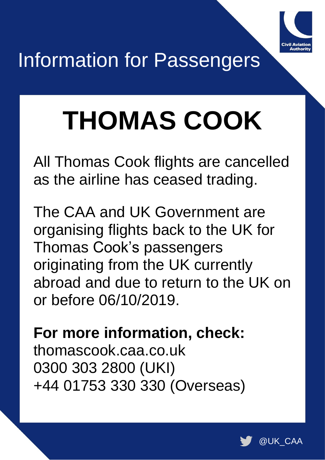

## Information for Passengers

# **THOMAS COOK**

All Thomas Cook flights are cancelled as the airline has ceased trading.

The CAA and UK Government are organising flights back to the UK for Thomas Cook's passengers originating from the UK currently abroad and due to return to the UK on or before 06/10/2019.

**For more information, check:** thomascook.caa.co.uk 0300 303 2800 (UKI) +44 01753 330 330 (Overseas)